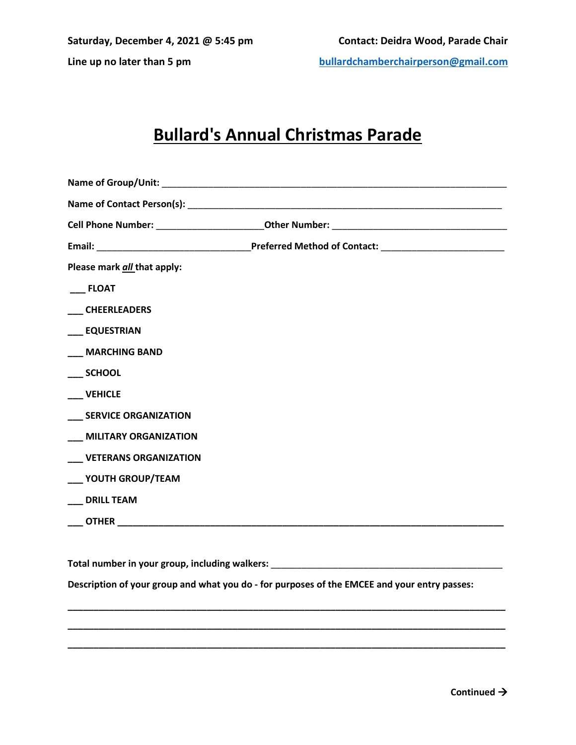**Line up no later than 5 pm [bullardchamberchairperson@gmail.com](mailto:bullardchamberchairperson@gmail.com)**

## **Bullard's Annual Christmas Parade**

| Please mark all that apply:  |  |
|------------------------------|--|
| <b>FLOAT</b>                 |  |
| <b>CHEERLEADERS</b>          |  |
| ___ EQUESTRIAN               |  |
| ___ MARCHING BAND            |  |
| <b>SCHOOL</b>                |  |
| <b>VEHICLE</b>               |  |
| __ SERVICE ORGANIZATION      |  |
| MILITARY ORGANIZATION        |  |
| <b>VETERANS ORGANIZATION</b> |  |
| ___ YOUTH GROUP/TEAM         |  |
| <b>DRILL TEAM</b>            |  |
|                              |  |

**Total number in your group, including walkers:** \_\_\_\_\_\_\_\_\_\_\_\_\_\_\_\_\_\_\_\_\_\_\_\_\_\_\_\_\_\_\_\_\_\_\_\_\_\_\_\_\_\_\_\_\_

**Description of your group and what you do - for purposes of the EMCEE and your entry passes:**

**\_\_\_\_\_\_\_\_\_\_\_\_\_\_\_\_\_\_\_\_\_\_\_\_\_\_\_\_\_\_\_\_\_\_\_\_\_\_\_\_\_\_\_\_\_\_\_\_\_\_\_\_\_\_\_\_\_\_\_\_\_\_\_\_\_\_\_\_\_\_\_\_\_\_\_\_\_\_\_\_\_\_\_\_\_**

**\_\_\_\_\_\_\_\_\_\_\_\_\_\_\_\_\_\_\_\_\_\_\_\_\_\_\_\_\_\_\_\_\_\_\_\_\_\_\_\_\_\_\_\_\_\_\_\_\_\_\_\_\_\_\_\_\_\_\_\_\_\_\_\_\_\_\_\_\_\_\_\_\_\_\_\_\_\_\_\_\_\_\_\_\_**

**\_\_\_\_\_\_\_\_\_\_\_\_\_\_\_\_\_\_\_\_\_\_\_\_\_\_\_\_\_\_\_\_\_\_\_\_\_\_\_\_\_\_\_\_\_\_\_\_\_\_\_\_\_\_\_\_\_\_\_\_\_\_\_\_\_\_\_\_\_\_\_\_\_\_\_\_\_\_\_\_\_\_\_\_\_**